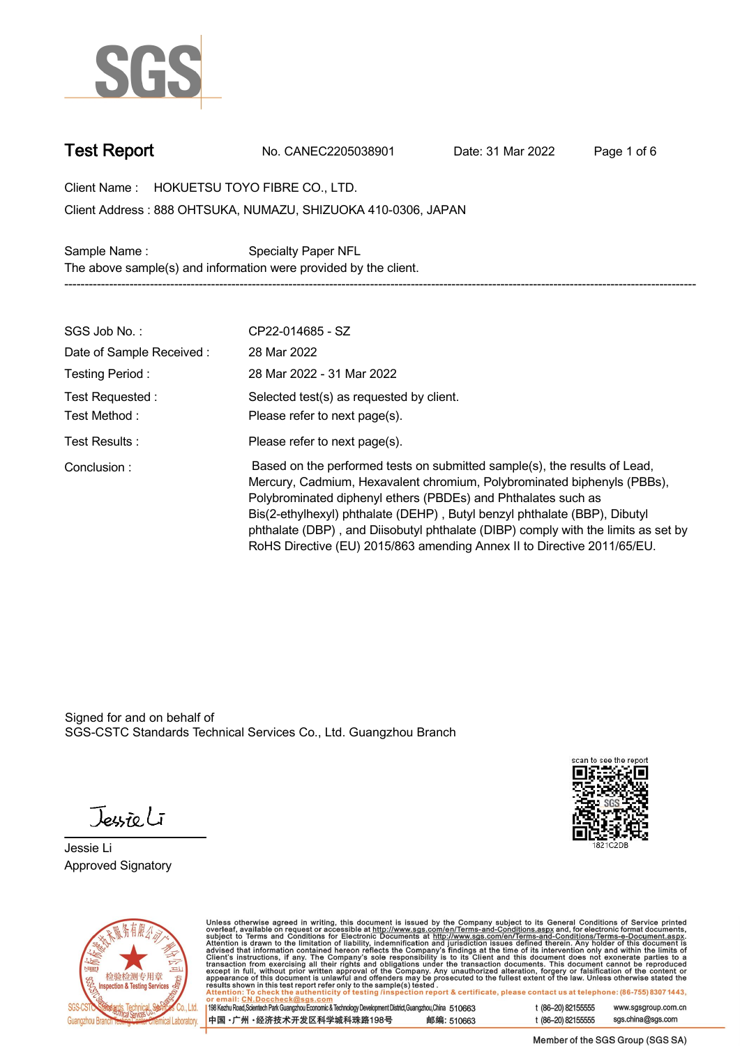

**Test Report. No. CANEC2205038901 . Date: 31 Mar 2022 . Page 1 of 6.**

**Client Name : HOKUETSU TOYO FIBRE CO., LTD. .**

**888 OHTSUKA, NUMAZU, SHIZUOKA 410-0306, JAPAN . Client Address :**

**Sample Name : Specialty Paper NFL . The above sample(s) and information were provided by the client. -----------------------------------------------------------------------------------------------------------------------------------------------------------**

| SGS Job No.:                    | CP22-014685 - SZ                                                                                                                                                                                                                                                                                                                                                                                                                                                   |
|---------------------------------|--------------------------------------------------------------------------------------------------------------------------------------------------------------------------------------------------------------------------------------------------------------------------------------------------------------------------------------------------------------------------------------------------------------------------------------------------------------------|
| Date of Sample Received:        | 28 Mar 2022                                                                                                                                                                                                                                                                                                                                                                                                                                                        |
| Testing Period:                 | 28 Mar 2022 - 31 Mar 2022                                                                                                                                                                                                                                                                                                                                                                                                                                          |
| Test Requested:<br>Test Method: | Selected test(s) as requested by client.<br>Please refer to next page(s).                                                                                                                                                                                                                                                                                                                                                                                          |
| Test Results:                   | Please refer to next page(s).                                                                                                                                                                                                                                                                                                                                                                                                                                      |
| Conclusion:                     | Based on the performed tests on submitted sample(s), the results of Lead,<br>Mercury, Cadmium, Hexavalent chromium, Polybrominated biphenyls (PBBs),<br>Polybrominated diphenyl ethers (PBDEs) and Phthalates such as<br>Bis(2-ethylhexyl) phthalate (DEHP), Butyl benzyl phthalate (BBP), Dibutyl<br>phthalate (DBP), and Diisobutyl phthalate (DIBP) comply with the limits as set by<br>RoHS Directive (EU) 2015/863 amending Annex II to Directive 2011/65/EU. |

Signed for and on behalf of SGS-CSTC Standards Technical Services Co., Ltd. Guangzhou Branch.

Jessieli

**Jessie Li. Approved Signatory .**





Unless otherwise agreed in writing, this document is issued by the Company subject to its General Conditions of Service printed<br>overleaf, available on request or accessible at http://www.sgs.com/en/Terms-and-Conditions.as

| 198 Kezhu Road,Scientech Park Guangzhou Economic & Technology Development District,Guangzhou,China 510663 |            |
|-----------------------------------------------------------------------------------------------------------|------------|
| 中国 •广州 •经济技术开发区科学城科珠路198号                                                                                 | 邮编: 510663 |

t (86-20) 82155555 www.sgsgroup.com.cn sgs.china@sgs.com t (86-20) 82155555

Member of the SGS Group (SGS SA)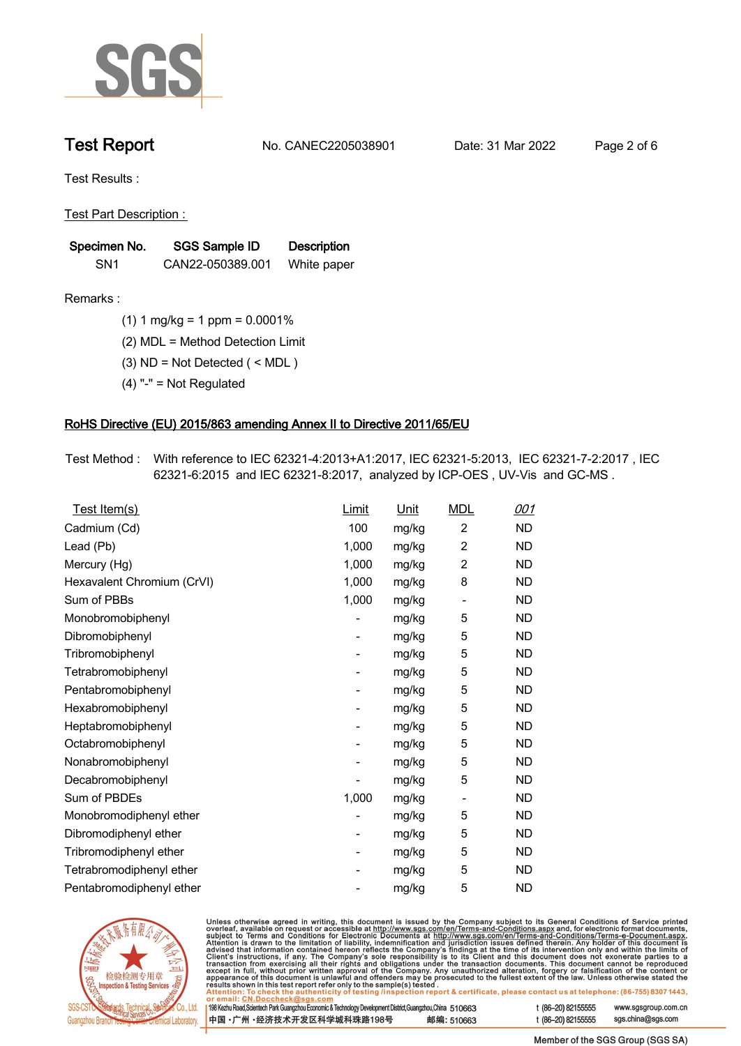

**Test Report. No. CANEC2205038901 . Date: 31 Mar 2022 . Page 2 of 6.**

**Test Results :.**

**Test Part Description : .**

| Specimen No.    | SGS Sample ID    | <b>Description</b> |  |
|-----------------|------------------|--------------------|--|
| SN <sub>1</sub> | CAN22-050389.001 | White paper        |  |

- **Remarks :.(1) 1 mg/kg = 1 ppm = 0.0001% .**
	- **(2) MDL = Method Detection Limit .**
	- **(3) ND = Not Detected ( < MDL ) .**
	- **(4) "-" = Not Regulated .**

## **RoHS Directive (EU) 2015/863 amending Annex II to Directive 2011/65/EU.**

**Test Method :. With reference to IEC 62321-4:2013+A1:2017, IEC 62321-5:2013, IEC 62321-7-2:2017 , IEC 62321-6:2015 and IEC 62321-8:2017, analyzed by ICP-OES , UV-Vis and GC-MS . .**

| Test Item(s)               | <b>Limit</b> | <u>Unit</u> | <b>MDL</b>                   | <u>001</u> |
|----------------------------|--------------|-------------|------------------------------|------------|
| Cadmium (Cd)               | 100          | mg/kg       | $\overline{2}$               | <b>ND</b>  |
| Lead (Pb)                  | 1,000        | mg/kg       | $\overline{2}$               | <b>ND</b>  |
| Mercury (Hg)               | 1,000        | mg/kg       | $\overline{2}$               | <b>ND</b>  |
| Hexavalent Chromium (CrVI) | 1,000        | mg/kg       | 8                            | <b>ND</b>  |
| Sum of PBBs                | 1,000        | mg/kg       | $\overline{\phantom{0}}$     | <b>ND</b>  |
| Monobromobiphenyl          |              | mg/kg       | 5                            | <b>ND</b>  |
| Dibromobiphenyl            | -            | mg/kg       | 5                            | <b>ND</b>  |
| Tribromobiphenyl           | -            | mg/kg       | 5                            | <b>ND</b>  |
| Tetrabromobiphenyl         |              | mg/kg       | 5                            | <b>ND</b>  |
| Pentabromobiphenyl         | -            | mg/kg       | 5                            | <b>ND</b>  |
| Hexabromobiphenyl          |              | mg/kg       | 5                            | <b>ND</b>  |
| Heptabromobiphenyl         |              | mg/kg       | 5                            | <b>ND</b>  |
| Octabromobiphenyl          | -            | mg/kg       | 5                            | <b>ND</b>  |
| Nonabromobiphenyl          |              | mg/kg       | 5                            | <b>ND</b>  |
| Decabromobiphenyl          |              | mg/kg       | 5                            | <b>ND</b>  |
| Sum of PBDEs               | 1,000        | mg/kg       | $\qquad \qquad \blacksquare$ | <b>ND</b>  |
| Monobromodiphenyl ether    |              | mg/kg       | 5                            | <b>ND</b>  |
| Dibromodiphenyl ether      |              | mg/kg       | 5                            | <b>ND</b>  |
| Tribromodiphenyl ether     | -            | mg/kg       | 5                            | <b>ND</b>  |
| Tetrabromodiphenyl ether   |              | mg/kg       | 5                            | <b>ND</b>  |
| Pentabromodiphenyl ether   |              | mg/kg       | 5                            | <b>ND</b>  |



Unless otherwise agreed in writing, this document is issued by the Company subject to its General Conditions of Service printed overleaf, available on request or accessible at http://www.sgs.com/en/Terms-and-Conditions.as

| or email: CN.DOCCHECK@sgs.com                                                                              |            |                    |                     |
|------------------------------------------------------------------------------------------------------------|------------|--------------------|---------------------|
| 198 Kezhu Road,Scientech Park Guangzhou Economic & Technology Development District,Guangzhou,China 51 0663 |            | t (86-20) 82155555 | www.sgsgroup.com.cl |
| ┃中国 •广州 •经济技术开发区科学城科珠路198号 ↓                                                                               | 邮编: 510663 | t (86-20) 82155555 | sgs.china@sgs.com   |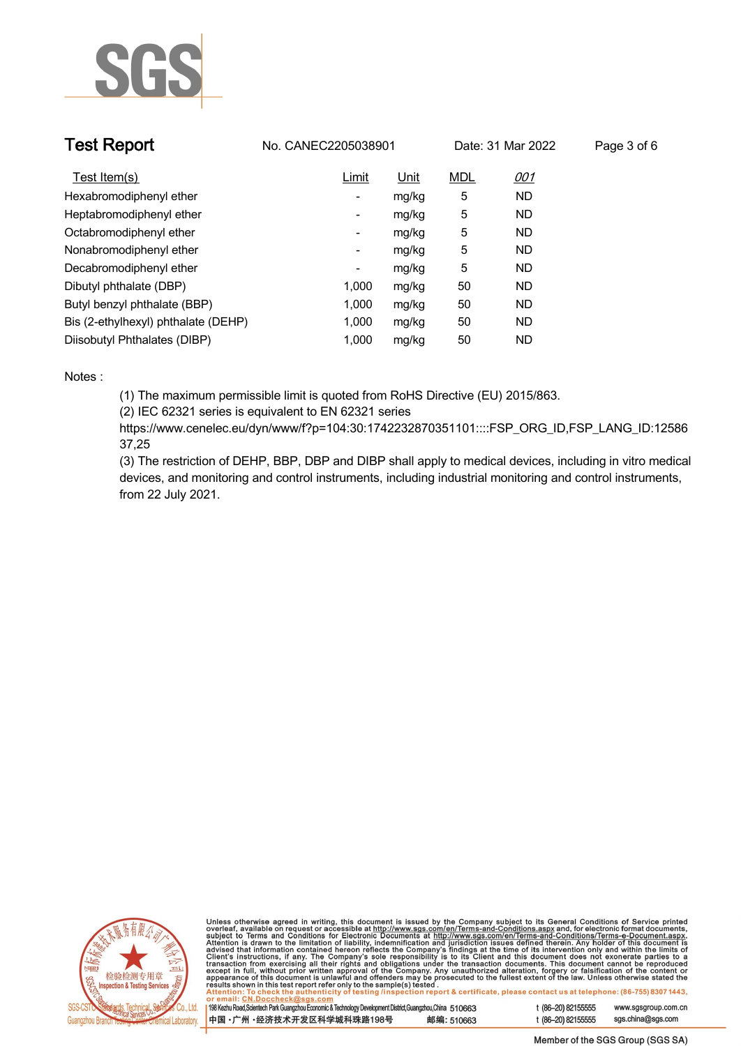

| <b>Test Report</b>                  | No. CANEC2205038901 |             |            | Date: 31 Mar 2022 | Page 3 of 6 |
|-------------------------------------|---------------------|-------------|------------|-------------------|-------------|
| Test Item(s)                        | Limit               | <u>Unit</u> | <b>MDL</b> | <u>001</u>        |             |
| Hexabromodiphenyl ether             | -                   | mg/kg       | 5          | <b>ND</b>         |             |
| Heptabromodiphenyl ether            | ۰.                  | mg/kg       | 5          | <b>ND</b>         |             |
| Octabromodiphenyl ether             | -                   | mg/kg       | 5          | <b>ND</b>         |             |
| Nonabromodiphenyl ether             | -                   | mg/kg       | 5          | <b>ND</b>         |             |
| Decabromodiphenyl ether             | -                   | mg/kg       | 5          | <b>ND</b>         |             |
| Dibutyl phthalate (DBP)             | 1.000               | mg/kg       | 50         | <b>ND</b>         |             |
| Butyl benzyl phthalate (BBP)        | 1.000               | mg/kg       | 50         | ND                |             |
| Bis (2-ethylhexyl) phthalate (DEHP) | 1.000               | mg/kg       | 50         | ND                |             |
| Diisobutyl Phthalates (DIBP)        | 1.000               | mg/kg       | 50         | ND                |             |

### **Notes :.**

**(1) The maximum permissible limit is quoted from RoHS Directive (EU) 2015/863.**

**(2) IEC 62321 series is equivalent to EN 62321 series**

**https://www.cenelec.eu/dyn/www/f?p=104:30:1742232870351101::::FSP\_ORG\_ID,FSP\_LANG\_ID:12586 37,25**

**(3) The restriction of DEHP, BBP, DBP and DIBP shall apply to medical devices, including in vitro medical devices, and monitoring and control instruments, including industrial monitoring and control instruments, from 22 July 2021..**



Unless otherwise agreed in writing, this document is issued by the Company subject to its General Conditions of Service printed<br>overleaf, available on request or accessible at http://www.sgs.com/en/Terms-and-Conditions.as

| 198 Kezhu Road,Scientech Park Guangzhou Economic & Technology Development District,Guangzhou,China   51 O663 |            |  |
|--------------------------------------------------------------------------------------------------------------|------------|--|
| 中国 •广州 •经济技术开发区科学城科珠路198号                                                                                    | 邮编: 510663 |  |

www.sgsgroup.com.cn

t (86-20) 82155555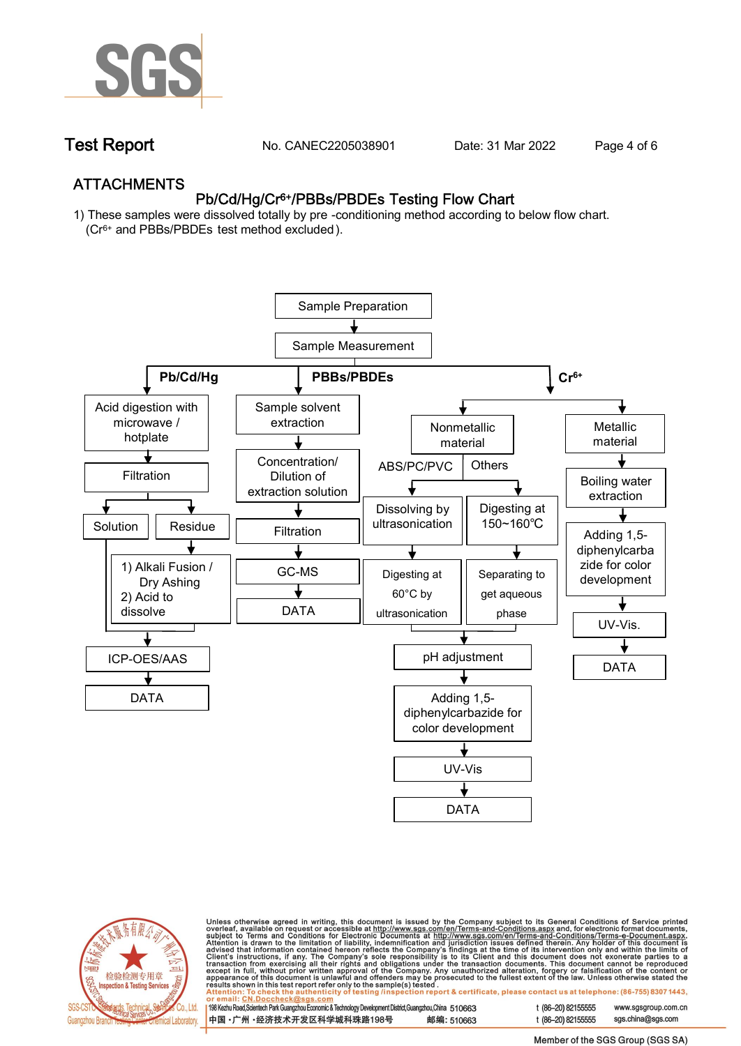

**Test Report. No. CANEC2205038901 . Date: 31 Mar 2022 . Page 4 of 6.**

## **ATTACHMENTS Pb/Cd/Hg/Cr6+/PBBs/PBDEs Testing Flow Chart**

**1) These samples were dissolved totally by pre -conditioning method according to below flow chart. (Cr6+ and PBBs/PBDEs test method excluded ).**





Unless otherwise agreed in writing, this document is issued by the Company subject to its General Conditions of Service printed<br>overleaf, available on request or accessible at http://www.sgs.com/en/Terms-and-Conditions.as

| 198 Kezhu Road,Scientech Park Guangzhou Economic & Technology Development District,Guangzhou,China 510663 |            |
|-----------------------------------------------------------------------------------------------------------|------------|
| 中国 •广州 •经济技术开发区科学城科珠路198号                                                                                 | 邮编: 510663 |

t (86-20) 82155555 www.sgsgroup.com.cn t (86-20) 82155555 sas.china@sas.com

Member of the SGS Group (SGS SA)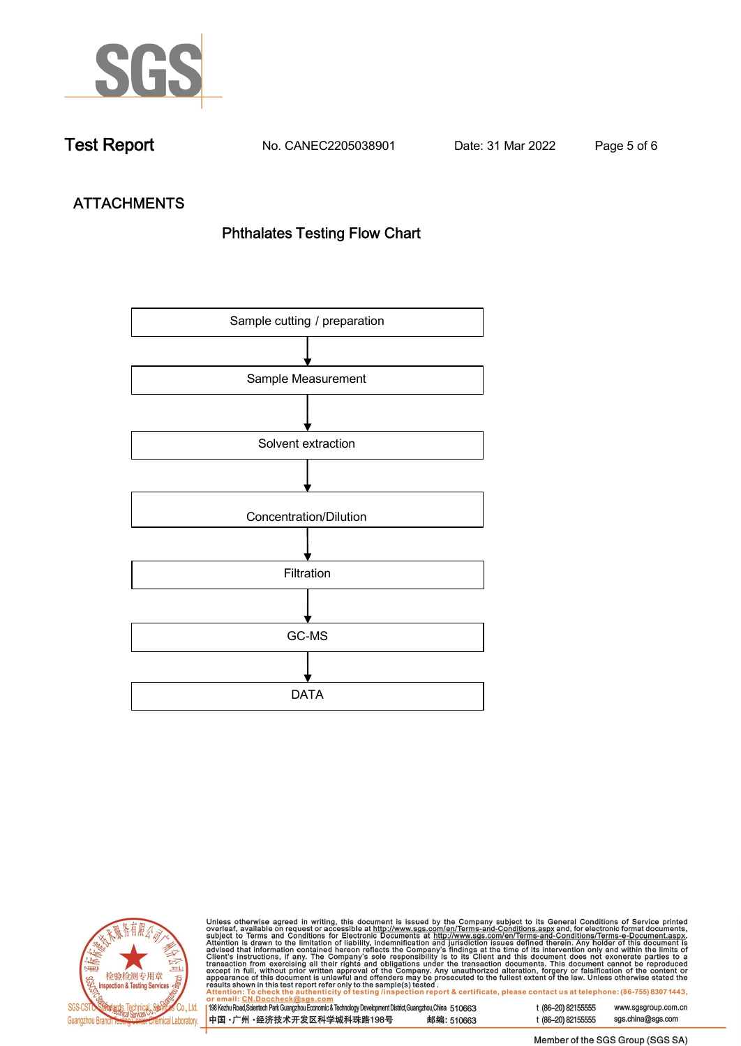

**Test Report. No. CANEC2205038901 . Date: 31 Mar 2022 . Page 5 of 6.**

# **ATTACHMENTS Phthalates Testing Flow Chart**





Unless otherwise agreed in writing, this document is issued by the Company subject to its General Conditions of Service printed overleaf, available on request or accessible at http://www.sgs.com/en/Terms-and-Conditions.as

| or email: CN.Doccheck@sus.com                                                                             |            |
|-----------------------------------------------------------------------------------------------------------|------------|
| 198 Kezhu Road,Scientech Park Guangzhou Economic & Technology Development District,Guangzhou,China 510663 |            |
|                                                                                                           |            |
|                                                                                                           |            |
| 中国 •广州 •经济技术开发区科学城科珠路198号                                                                                 | 邮编: 510663 |
|                                                                                                           |            |

t (86-20) 82155555 www.sgsgroup.com.cn t (86-20) 82155555 sgs.china@sgs.com